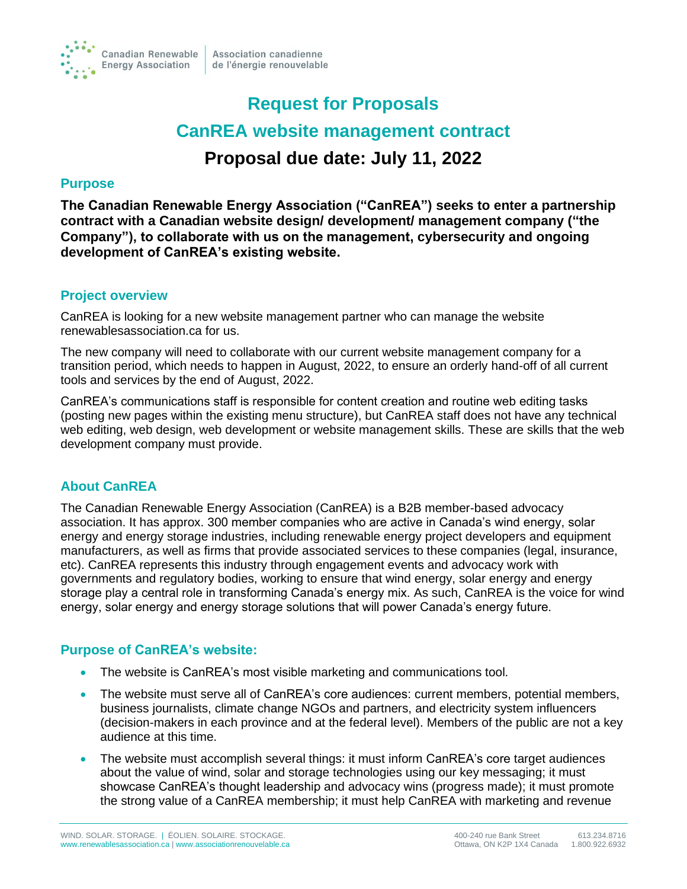

# **Request for Proposals CanREA website management contract Proposal due date: July 11, 2022**

#### **Purpose**

**The Canadian Renewable Energy Association ("CanREA") seeks to enter a partnership contract with a Canadian website design/ development/ management company ("the Company"), to collaborate with us on the management, cybersecurity and ongoing development of CanREA's existing website.**

#### **Project overview**

CanREA is looking for a new website management partner who can manage the website renewablesassociation.ca for us.

The new company will need to collaborate with our current website management company for a transition period, which needs to happen in August, 2022, to ensure an orderly hand-off of all current tools and services by the end of August, 2022.

CanREA's communications staff is responsible for content creation and routine web editing tasks (posting new pages within the existing menu structure), but CanREA staff does not have any technical web editing, web design, web development or website management skills. These are skills that the web development company must provide.

# **About CanREA**

The Canadian Renewable Energy Association (CanREA) is a B2B member-based advocacy association. It has approx. 300 member companies who are active in Canada's wind energy, solar energy and energy storage industries, including renewable energy project developers and equipment manufacturers, as well as firms that provide associated services to these companies (legal, insurance, etc). CanREA represents this industry through engagement events and advocacy work with governments and regulatory bodies, working to ensure that wind energy, solar energy and energy storage play a central role in transforming Canada's energy mix. As such, CanREA is the voice for wind energy, solar energy and energy storage solutions that will power Canada's energy future.

# **Purpose of CanREA's website:**

- The website is CanREA's most visible marketing and communications tool.
- The website must serve all of CanREA's core audiences: current members, potential members, business journalists, climate change NGOs and partners, and electricity system influencers (decision-makers in each province and at the federal level). Members of the public are not a key audience at this time.
- The website must accomplish several things: it must inform CanREA's core target audiences about the value of wind, solar and storage technologies using our key messaging; it must showcase CanREA's thought leadership and advocacy wins (progress made); it must promote the strong value of a CanREA membership; it must help CanREA with marketing and revenue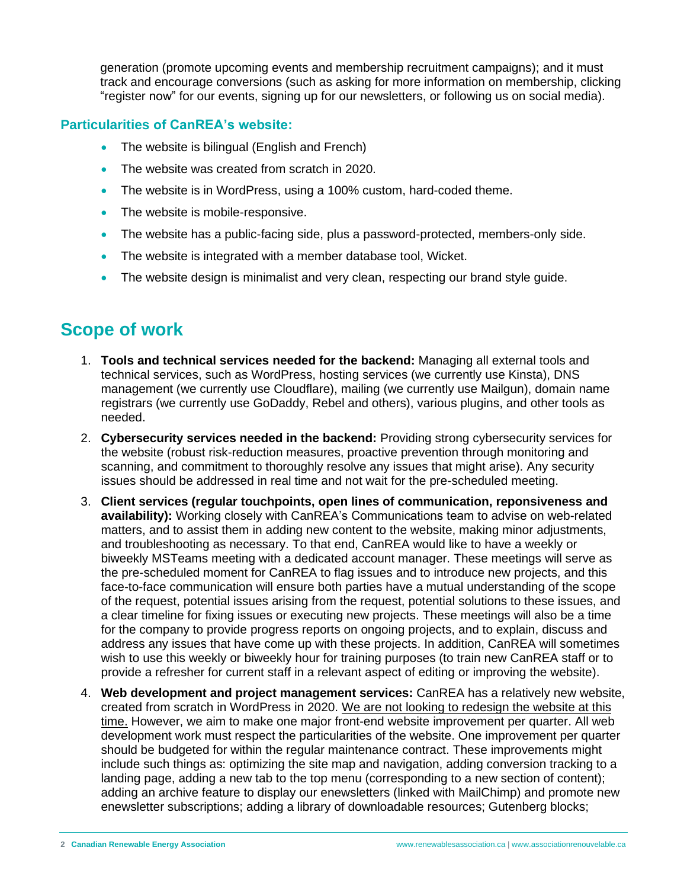generation (promote upcoming events and membership recruitment campaigns); and it must track and encourage conversions (such as asking for more information on membership, clicking "register now" for our events, signing up for our newsletters, or following us on social media).

### **Particularities of CanREA's website:**

- The website is bilingual (English and French)
- The website was created from scratch in 2020.
- The website is in WordPress, using a 100% custom, hard-coded theme.
- The website is mobile-responsive.
- The website has a public-facing side, plus a password-protected, members-only side.
- The website is integrated with a member database tool, Wicket.
- The website design is minimalist and very clean, respecting our brand style guide.

# **Scope of work**

- 1. **Tools and technical services needed for the backend:** Managing all external tools and technical services, such as WordPress, hosting services (we currently use Kinsta), DNS management (we currently use Cloudflare), mailing (we currently use Mailgun), domain name registrars (we currently use GoDaddy, Rebel and others), various plugins, and other tools as needed.
- 2. **Cybersecurity services needed in the backend:** Providing strong cybersecurity services for the website (robust risk-reduction measures, proactive prevention through monitoring and scanning, and commitment to thoroughly resolve any issues that might arise). Any security issues should be addressed in real time and not wait for the pre-scheduled meeting.
- 3. **Client services (regular touchpoints, open lines of communication, reponsiveness and availability):** Working closely with CanREA's Communications team to advise on web-related matters, and to assist them in adding new content to the website, making minor adjustments, and troubleshooting as necessary. To that end, CanREA would like to have a weekly or biweekly MSTeams meeting with a dedicated account manager. These meetings will serve as the pre-scheduled moment for CanREA to flag issues and to introduce new projects, and this face-to-face communication will ensure both parties have a mutual understanding of the scope of the request, potential issues arising from the request, potential solutions to these issues, and a clear timeline for fixing issues or executing new projects. These meetings will also be a time for the company to provide progress reports on ongoing projects, and to explain, discuss and address any issues that have come up with these projects. In addition, CanREA will sometimes wish to use this weekly or biweekly hour for training purposes (to train new CanREA staff or to provide a refresher for current staff in a relevant aspect of editing or improving the website).
- 4. **Web development and project management services:** CanREA has a relatively new website, created from scratch in WordPress in 2020. We are not looking to redesign the website at this time. However, we aim to make one major front-end website improvement per quarter. All web development work must respect the particularities of the website. One improvement per quarter should be budgeted for within the regular maintenance contract. These improvements might include such things as: optimizing the site map and navigation, adding conversion tracking to a landing page, adding a new tab to the top menu (corresponding to a new section of content); adding an archive feature to display our enewsletters (linked with MailChimp) and promote new enewsletter subscriptions; adding a library of downloadable resources; Gutenberg blocks;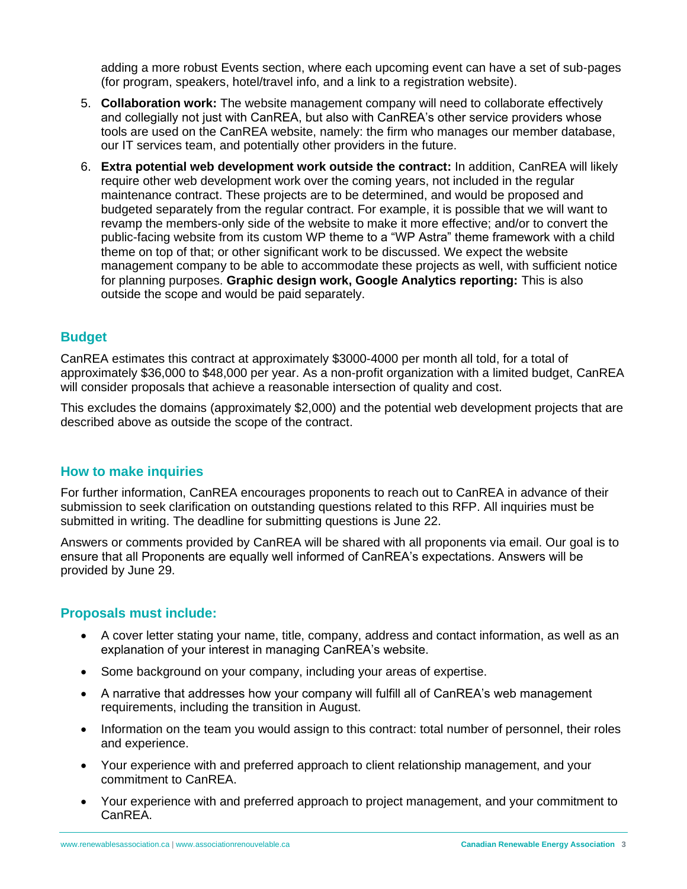adding a more robust Events section, where each upcoming event can have a set of sub-pages (for program, speakers, hotel/travel info, and a link to a registration website).

- 5. **Collaboration work:** The website management company will need to collaborate effectively and collegially not just with CanREA, but also with CanREA's other service providers whose tools are used on the CanREA website, namely: the firm who manages our member database, our IT services team, and potentially other providers in the future.
- 6. **Extra potential web development work outside the contract:** In addition, CanREA will likely require other web development work over the coming years, not included in the regular maintenance contract. These projects are to be determined, and would be proposed and budgeted separately from the regular contract. For example, it is possible that we will want to revamp the members-only side of the website to make it more effective; and/or to convert the public-facing website from its custom WP theme to a "WP Astra" theme framework with a child theme on top of that; or other significant work to be discussed. We expect the website management company to be able to accommodate these projects as well, with sufficient notice for planning purposes. **Graphic design work, Google Analytics reporting:** This is also outside the scope and would be paid separately.

#### **Budget**

CanREA estimates this contract at approximately \$3000-4000 per month all told, for a total of approximately \$36,000 to \$48,000 per year. As a non-profit organization with a limited budget, CanREA will consider proposals that achieve a reasonable intersection of quality and cost.

This excludes the domains (approximately \$2,000) and the potential web development projects that are described above as outside the scope of the contract.

#### **How to make inquiries**

For further information, CanREA encourages proponents to reach out to CanREA in advance of their submission to seek clarification on outstanding questions related to this RFP. All inquiries must be submitted in writing. The deadline for submitting questions is June 22.

Answers or comments provided by CanREA will be shared with all proponents via email. Our goal is to ensure that all Proponents are equally well informed of CanREA's expectations. Answers will be provided by June 29.

#### **Proposals must include:**

- A cover letter stating your name, title, company, address and contact information, as well as an explanation of your interest in managing CanREA's website.
- Some background on your company, including your areas of expertise.
- A narrative that addresses how your company will fulfill all of CanREA's web management requirements, including the transition in August.
- Information on the team you would assign to this contract: total number of personnel, their roles and experience.
- Your experience with and preferred approach to client relationship management, and your commitment to CanREA.
- Your experience with and preferred approach to project management, and your commitment to CanREA.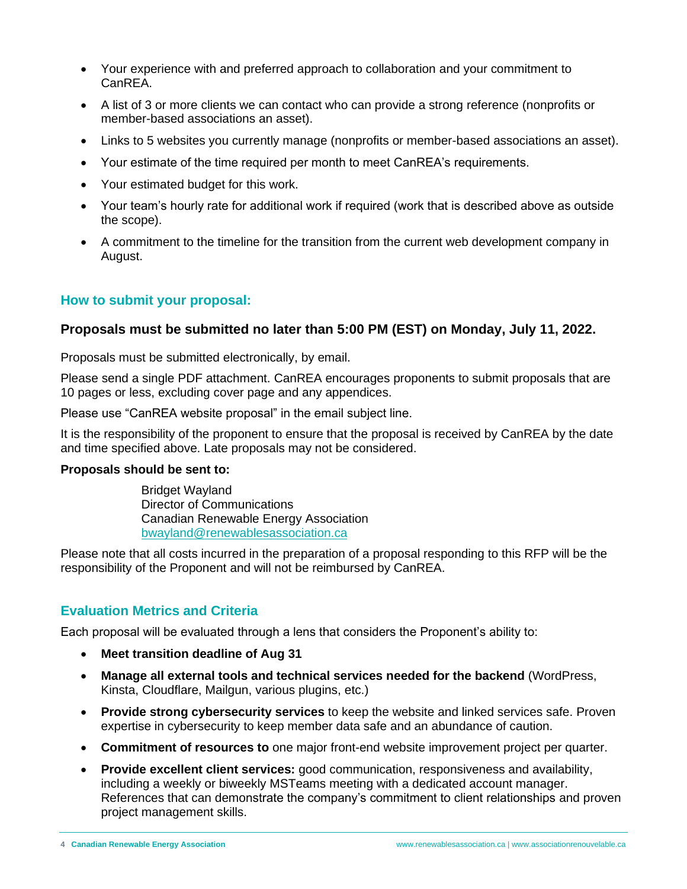- Your experience with and preferred approach to collaboration and your commitment to CanREA.
- A list of 3 or more clients we can contact who can provide a strong reference (nonprofits or member-based associations an asset).
- Links to 5 websites you currently manage (nonprofits or member-based associations an asset).
- Your estimate of the time required per month to meet CanREA's requirements.
- Your estimated budget for this work.
- Your team's hourly rate for additional work if required (work that is described above as outside the scope).
- A commitment to the timeline for the transition from the current web development company in August.

# **How to submit your proposal:**

# **Proposals must be submitted no later than 5:00 PM (EST) on Monday, July 11, 2022.**

Proposals must be submitted electronically, by email.

Please send a single PDF attachment. CanREA encourages proponents to submit proposals that are 10 pages or less, excluding cover page and any appendices.

Please use "CanREA website proposal" in the email subject line.

It is the responsibility of the proponent to ensure that the proposal is received by CanREA by the date and time specified above. Late proposals may not be considered.

#### **Proposals should be sent to:**

Bridget Wayland Director of Communications Canadian Renewable Energy Association [bwayland@renewablesassociation.ca](mailto:bwayland@renewablesassociation.ca)

Please note that all costs incurred in the preparation of a proposal responding to this RFP will be the responsibility of the Proponent and will not be reimbursed by CanREA.

# **Evaluation Metrics and Criteria**

Each proposal will be evaluated through a lens that considers the Proponent's ability to:

- **Meet transition deadline of Aug 31**
- **Manage all external tools and technical services needed for the backend** (WordPress, Kinsta, Cloudflare, Mailgun, various plugins, etc.)
- **Provide strong cybersecurity services** to keep the website and linked services safe. Proven expertise in cybersecurity to keep member data safe and an abundance of caution.
- **Commitment of resources to** one major front-end website improvement project per quarter.
- **Provide excellent client services:** good communication, responsiveness and availability, including a weekly or biweekly MSTeams meeting with a dedicated account manager. References that can demonstrate the company's commitment to client relationships and proven project management skills.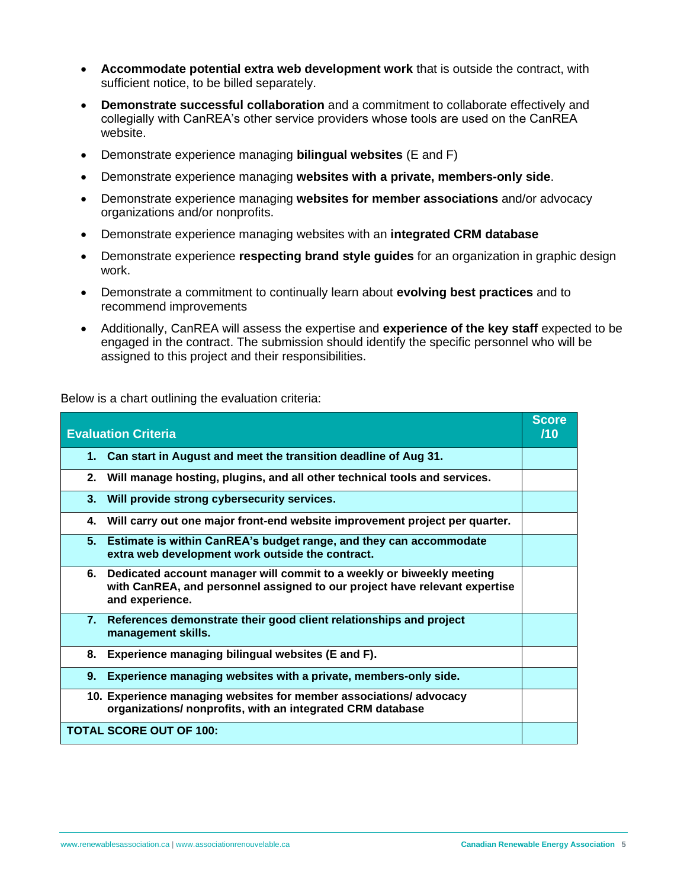- **Accommodate potential extra web development work** that is outside the contract, with sufficient notice, to be billed separately.
- **Demonstrate successful collaboration** and a commitment to collaborate effectively and collegially with CanREA's other service providers whose tools are used on the CanREA website.
- Demonstrate experience managing **bilingual websites** (E and F)
- Demonstrate experience managing **websites with a private, members-only side**.
- Demonstrate experience managing **websites for member associations** and/or advocacy organizations and/or nonprofits.
- Demonstrate experience managing websites with an **integrated CRM database**
- Demonstrate experience **respecting brand style guides** for an organization in graphic design work.
- Demonstrate a commitment to continually learn about **evolving best practices** and to recommend improvements
- Additionally, CanREA will assess the expertise and **experience of the key staff** expected to be engaged in the contract. The submission should identify the specific personnel who will be assigned to this project and their responsibilities.

Below is a chart outlining the evaluation criteria:

| <b>Evaluation Criteria</b>                                                                                                                                                   | <b>Score</b><br>/10 |
|------------------------------------------------------------------------------------------------------------------------------------------------------------------------------|---------------------|
| Can start in August and meet the transition deadline of Aug 31.<br>1.                                                                                                        |                     |
| Will manage hosting, plugins, and all other technical tools and services.<br>2.                                                                                              |                     |
| 3.<br>Will provide strong cybersecurity services.                                                                                                                            |                     |
| Will carry out one major front-end website improvement project per quarter.<br>4.                                                                                            |                     |
| 5. Estimate is within CanREA's budget range, and they can accommodate<br>extra web development work outside the contract.                                                    |                     |
| Dedicated account manager will commit to a weekly or biweekly meeting<br>6.<br>with CanREA, and personnel assigned to our project have relevant expertise<br>and experience. |                     |
| 7. References demonstrate their good client relationships and project<br>management skills.                                                                                  |                     |
| 8.<br>Experience managing bilingual websites (E and F).                                                                                                                      |                     |
| 9.<br>Experience managing websites with a private, members-only side.                                                                                                        |                     |
| 10. Experience managing websites for member associations/advocacy<br>organizations/ nonprofits, with an integrated CRM database                                              |                     |
| <b>TOTAL SCORE OUT OF 100:</b>                                                                                                                                               |                     |